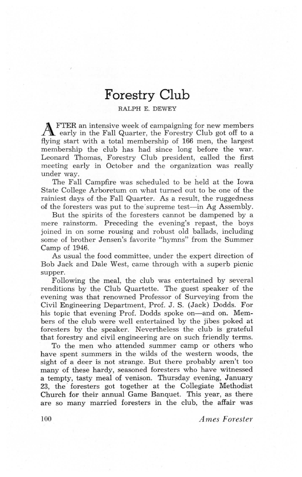## **Forestry Club**

## **RALPH E. DEWEY**

**A** FTER an intensive week of campaigning for new members early in the Fall Quarter, the Forestry Club got off to a flying start with a total membership of 166 men, the largest membership the club has had since long before the war. Leonard Thomas, Forestry Club president, called the first meeting early in October and the organization was really under way.

The Fall Campfire was scheduled to be held at the Iowa State College Arboretum on what turned out to be one of the rainiest days of the Fall Quarter. As a result, the ruggedness of the foresters was put to the supreme test—in Ag Assembly.

But the spirits of the foresters cannot be dampened by a mere rainstorm. Preceding the evening's repast, the boys joined in on some rousing and robust old ballads, including some of brother Jensen's favorite "hymns" from the Summer Camp of  $1946$ .

As usual the food committee, under the expert direction of Bob Jack and Dale West, came through with a superb picnic supper.

Following the meal, the club was entertained by several renditions by the Club Quartette. The guest speaker of the evening was that renowned Professor of Surveying from the Civil Engineering Department, Prof. J. S. (Jack) Dodds. For his topic that evening Prof. Dodds spoke on—and on. Members of the club were well entertained by the jibes poked at foresters by the speaker. Nevertheless the club is grateful that forestry and civil engineering are on such friendly terms.

To the men who attended summer camp or others who have spent summers in the wilds of the western woods, the sight of a deer is not strange. But there probably aren't too many of these hardy, seasoned foresters who have witnessed a tempty, tasty meal of venison. Thursday evening, January 23. the foresters got together at the Collegiate Methodist Church for their annual Game Banquet. This year, as there are so many married foresters in the club, the affair was

*Ames Forester* 

100